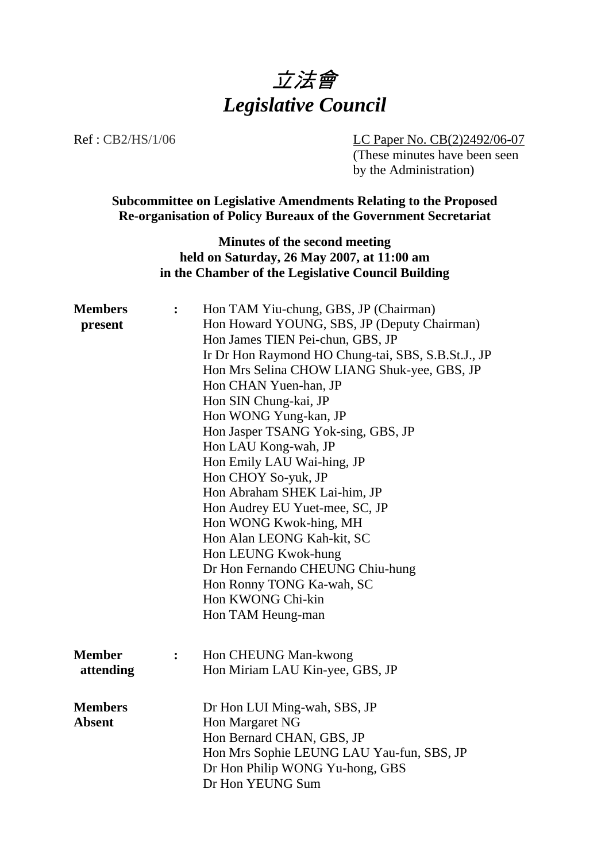

Ref : CB2/HS/1/06 LC Paper No. CB(2)2492/06-07

(These minutes have been seen by the Administration)

**Subcommittee on Legislative Amendments Relating to the Proposed Re-organisation of Policy Bureaux of the Government Secretariat**

> **Minutes of the second meeting held on Saturday, 26 May 2007, at 11:00 am in the Chamber of the Legislative Council Building**

| <b>Members</b><br>present       | $\ddot{\cdot}$ | Hon TAM Yiu-chung, GBS, JP (Chairman)<br>Hon Howard YOUNG, SBS, JP (Deputy Chairman)<br>Hon James TIEN Pei-chun, GBS, JP<br>Ir Dr Hon Raymond HO Chung-tai, SBS, S.B.St.J., JP<br>Hon Mrs Selina CHOW LIANG Shuk-yee, GBS, JP<br>Hon CHAN Yuen-han, JP<br>Hon SIN Chung-kai, JP<br>Hon WONG Yung-kan, JP<br>Hon Jasper TSANG Yok-sing, GBS, JP<br>Hon LAU Kong-wah, JP<br>Hon Emily LAU Wai-hing, JP<br>Hon CHOY So-yuk, JP<br>Hon Abraham SHEK Lai-him, JP<br>Hon Audrey EU Yuet-mee, SC, JP<br>Hon WONG Kwok-hing, MH<br>Hon Alan LEONG Kah-kit, SC<br>Hon LEUNG Kwok-hung<br>Dr Hon Fernando CHEUNG Chiu-hung<br>Hon Ronny TONG Ka-wah, SC<br>Hon KWONG Chi-kin<br>Hon TAM Heung-man |
|---------------------------------|----------------|-----------------------------------------------------------------------------------------------------------------------------------------------------------------------------------------------------------------------------------------------------------------------------------------------------------------------------------------------------------------------------------------------------------------------------------------------------------------------------------------------------------------------------------------------------------------------------------------------------------------------------------------------------------------------------------------|
| <b>Member</b><br>attending      | $\ddot{\cdot}$ | Hon CHEUNG Man-kwong<br>Hon Miriam LAU Kin-yee, GBS, JP                                                                                                                                                                                                                                                                                                                                                                                                                                                                                                                                                                                                                                 |
| <b>Members</b><br><b>Absent</b> |                | Dr Hon LUI Ming-wah, SBS, JP<br>Hon Margaret NG<br>Hon Bernard CHAN, GBS, JP<br>Hon Mrs Sophie LEUNG LAU Yau-fun, SBS, JP<br>Dr Hon Philip WONG Yu-hong, GBS<br>Dr Hon YEUNG Sum                                                                                                                                                                                                                                                                                                                                                                                                                                                                                                        |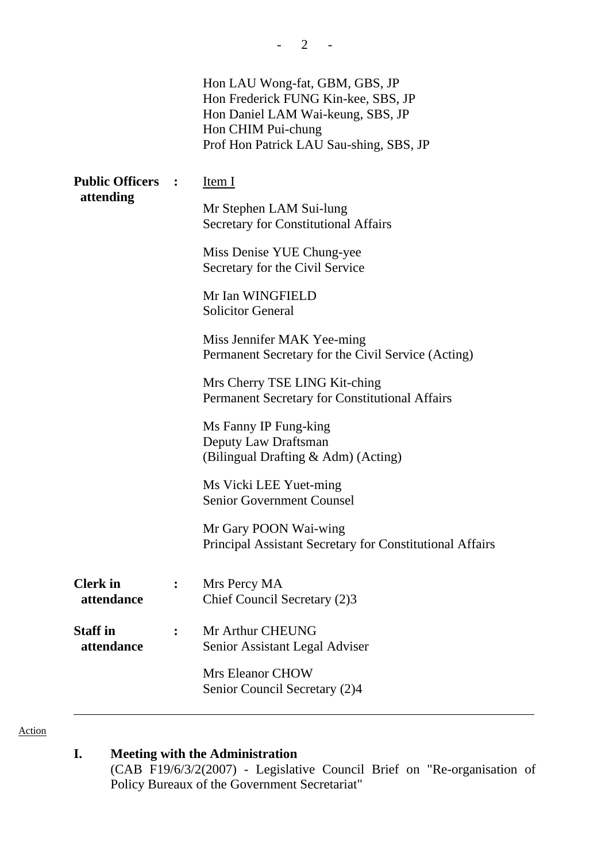|                               |                | Hon LAU Wong-fat, GBM, GBS, JP<br>Hon Frederick FUNG Kin-kee, SBS, JP<br>Hon Daniel LAM Wai-keung, SBS, JP<br>Hon CHIM Pui-chung<br>Prof Hon Patrick LAU Sau-shing, SBS, JP |
|-------------------------------|----------------|-----------------------------------------------------------------------------------------------------------------------------------------------------------------------------|
| <b>Public Officers :</b>      |                | Item I                                                                                                                                                                      |
| attending                     |                | Mr Stephen LAM Sui-lung<br><b>Secretary for Constitutional Affairs</b>                                                                                                      |
|                               |                | Miss Denise YUE Chung-yee<br>Secretary for the Civil Service                                                                                                                |
|                               |                | Mr Ian WINGFIELD<br><b>Solicitor General</b>                                                                                                                                |
|                               |                | Miss Jennifer MAK Yee-ming<br>Permanent Secretary for the Civil Service (Acting)                                                                                            |
|                               |                | Mrs Cherry TSE LING Kit-ching<br>Permanent Secretary for Constitutional Affairs                                                                                             |
|                               |                | Ms Fanny IP Fung-king<br>Deputy Law Draftsman<br>(Bilingual Drafting & Adm) (Acting)                                                                                        |
|                               |                | Ms Vicki LEE Yuet-ming<br><b>Senior Government Counsel</b>                                                                                                                  |
|                               |                | Mr Gary POON Wai-wing<br>Principal Assistant Secretary for Constitutional Affairs                                                                                           |
| <b>Clerk</b> in<br>attendance |                | Mrs Percy MA<br>Chief Council Secretary (2)3                                                                                                                                |
| <b>Staff</b> in<br>attendance | $\ddot{\cdot}$ | Mr Arthur CHEUNG<br>Senior Assistant Legal Adviser                                                                                                                          |
|                               |                | <b>Mrs Eleanor CHOW</b><br>Senior Council Secretary (2)4                                                                                                                    |

 $- 2 - 1$ 

Action

## **I. Meeting with the Administration**

(CAB F19/6/3/2(2007) - Legislative Council Brief on "Re-organisation of Policy Bureaux of the Government Secretariat"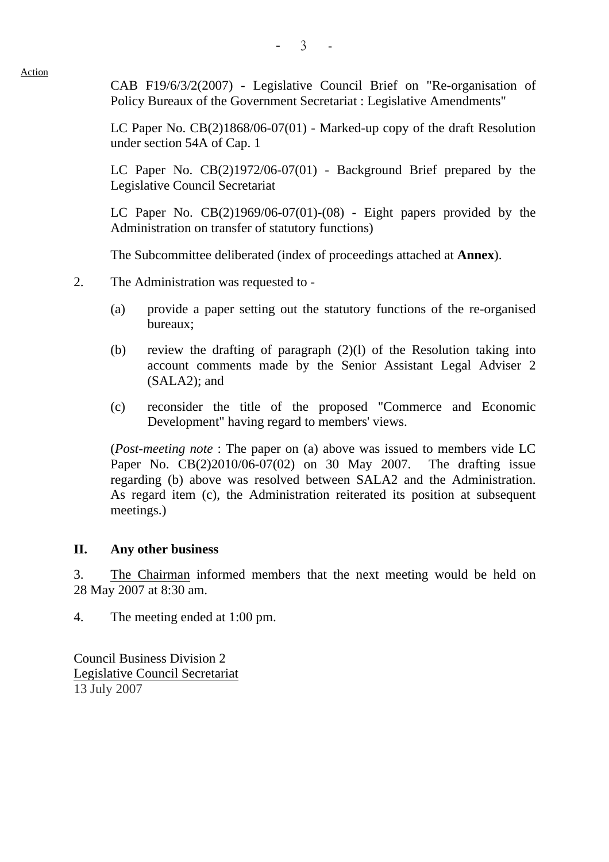$-3 - 3$ 

Action

CAB F19/6/3/2(2007) - Legislative Council Brief on "Re-organisation of Policy Bureaux of the Government Secretariat : Legislative Amendments"

LC Paper No. CB(2)1868/06-07(01) - Marked-up copy of the draft Resolution under section 54A of Cap. 1

LC Paper No. CB(2)1972/06-07(01) - Background Brief prepared by the Legislative Council Secretariat

LC Paper No.  $CB(2)1969/06-07(01)-(08)$  - Eight papers provided by the Administration on transfer of statutory functions)

The Subcommittee deliberated (index of proceedings attached at **Annex**).

- 2. The Administration was requested to
	- (a) provide a paper setting out the statutory functions of the re-organised bureaux;
	- (b) review the drafting of paragraph (2)(l) of the Resolution taking into account comments made by the Senior Assistant Legal Adviser 2 (SALA2); and
	- (c) reconsider the title of the proposed "Commerce and Economic Development" having regard to members' views.

(*Post-meeting note* : The paper on (a) above was issued to members vide LC Paper No. CB(2)2010/06-07(02) on 30 May 2007. The drafting issue regarding (b) above was resolved between SALA2 and the Administration. As regard item (c), the Administration reiterated its position at subsequent meetings.)

## **II. Any other business**

3. The Chairman informed members that the next meeting would be held on 28 May 2007 at 8:30 am.

4. The meeting ended at 1:00 pm.

Council Business Division 2 Legislative Council Secretariat 13 July 2007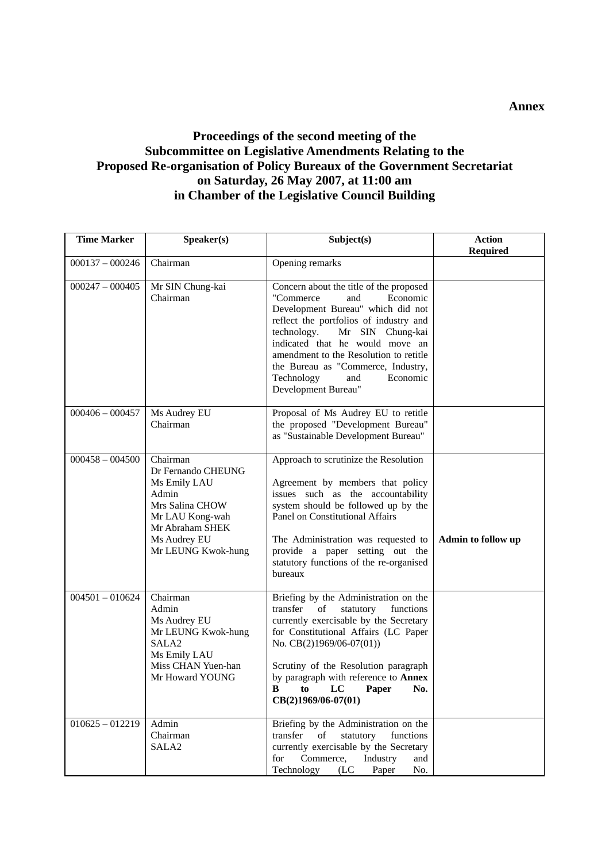## **Proceedings of the second meeting of the Subcommittee on Legislative Amendments Relating to the Proposed Re-organisation of Policy Bureaux of the Government Secretariat on Saturday, 26 May 2007, at 11:00 am in Chamber of the Legislative Council Building**

| <b>Time Marker</b>           | Speaker(s)                                                                                                                                             | Subject(s)                                                                                                                                                                                                                                                                                                                                                            | <b>Action</b><br><b>Required</b> |
|------------------------------|--------------------------------------------------------------------------------------------------------------------------------------------------------|-----------------------------------------------------------------------------------------------------------------------------------------------------------------------------------------------------------------------------------------------------------------------------------------------------------------------------------------------------------------------|----------------------------------|
| $000137 - 000246$            | Chairman                                                                                                                                               | Opening remarks                                                                                                                                                                                                                                                                                                                                                       |                                  |
| $000247 - 000405$            | Mr SIN Chung-kai<br>Chairman                                                                                                                           | Concern about the title of the proposed<br>"Commerce"<br>Economic<br>and<br>Development Bureau" which did not<br>reflect the portfolios of industry and<br>technology.<br>Mr SIN Chung-kai<br>indicated that he would move an<br>amendment to the Resolution to retitle<br>the Bureau as "Commerce, Industry,<br>and<br>Economic<br>Technology<br>Development Bureau" |                                  |
| $000406 - 000457$            | Ms Audrey EU<br>Chairman                                                                                                                               | Proposal of Ms Audrey EU to retitle<br>the proposed "Development Bureau"<br>as "Sustainable Development Bureau"                                                                                                                                                                                                                                                       |                                  |
| $000458 - 004500$            | Chairman<br>Dr Fernando CHEUNG<br>Ms Emily LAU<br>Admin<br>Mrs Salina CHOW<br>Mr LAU Kong-wah<br>Mr Abraham SHEK<br>Ms Audrey EU<br>Mr LEUNG Kwok-hung | Approach to scrutinize the Resolution<br>Agreement by members that policy<br>issues such as the accountability<br>system should be followed up by the<br>Panel on Constitutional Affairs<br>The Administration was requested to<br>provide a paper setting out the<br>statutory functions of the re-organised<br>bureaux                                              | Admin to follow up               |
| $\overline{004501} - 010624$ | Chairman<br>Admin<br>Ms Audrey EU<br>Mr LEUNG Kwok-hung<br>SALA <sub>2</sub><br>Ms Emily LAU<br>Miss CHAN Yuen-han<br>Mr Howard YOUNG                  | Briefing by the Administration on the<br>transfer<br>of<br>statutory<br>functions<br>currently exercisable by the Secretary<br>for Constitutional Affairs (LC Paper<br>No. CB(2)1969/06-07(01))<br>Scrutiny of the Resolution paragraph<br>by paragraph with reference to <b>Annex</b><br>B<br>$\mathbf{LC}$<br>Paper<br>to<br>No.<br>CB(2)1969/06-07(01)             |                                  |
| $010625 - 012219$            | Admin<br>Chairman<br>SALA <sub>2</sub>                                                                                                                 | Briefing by the Administration on the<br>transfer<br>statutory<br>of<br>functions<br>currently exercisable by the Secretary<br>Commerce,<br>Industry<br>for<br>and<br>Technology<br>No.<br>(LC)<br>Paper                                                                                                                                                              |                                  |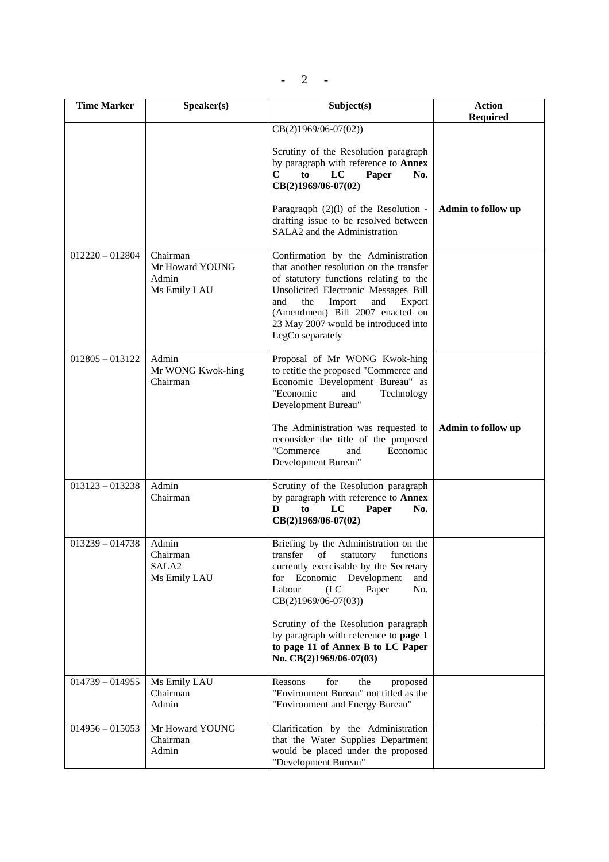$-$  2  $-$ 

| <b>Time Marker</b> |                                                        | Subject(s)                                                                                                                                                                                                                                                                                                                                                                     | <b>Action</b>      |
|--------------------|--------------------------------------------------------|--------------------------------------------------------------------------------------------------------------------------------------------------------------------------------------------------------------------------------------------------------------------------------------------------------------------------------------------------------------------------------|--------------------|
|                    | Speaker(s)                                             |                                                                                                                                                                                                                                                                                                                                                                                | <b>Required</b>    |
|                    |                                                        | $CB(2)1969/06-07(02))$<br>Scrutiny of the Resolution paragraph<br>by paragraph with reference to <b>Annex</b><br>C<br>LC<br>to<br>Paper<br>No.<br>CB(2)1969/06-07(02)<br>Paragraqph $(2)(1)$ of the Resolution -<br>drafting issue to be resolved between<br>SALA2 and the Administration                                                                                      | Admin to follow up |
| $012220 - 012804$  | Chairman<br>Mr Howard YOUNG<br>Admin<br>Ms Emily LAU   | Confirmation by the Administration<br>that another resolution on the transfer<br>of statutory functions relating to the<br>Unsolicited Electronic Messages Bill<br>the<br>Import<br>and<br>and<br>Export<br>(Amendment) Bill 2007 enacted on<br>23 May 2007 would be introduced into<br>LegCo separately                                                                       |                    |
| $012805 - 013122$  | Admin<br>Mr WONG Kwok-hing<br>Chairman                 | Proposal of Mr WONG Kwok-hing<br>to retitle the proposed "Commerce and<br>Economic Development Bureau" as<br>"Economic<br>and<br>Technology<br>Development Bureau"<br>The Administration was requested to<br>reconsider the title of the proposed<br>"Commerce<br>Economic<br>and<br>Development Bureau"                                                                       | Admin to follow up |
| $013123 - 013238$  | Admin<br>Chairman                                      | Scrutiny of the Resolution paragraph<br>by paragraph with reference to <b>Annex</b><br>LC<br>D<br>to<br>Paper<br>No.<br>CB(2)1969/06-07(02)                                                                                                                                                                                                                                    |                    |
| $013239 - 014738$  | Admin<br>Chairman<br>SALA <sub>2</sub><br>Ms Emily LAU | Briefing by the Administration on the<br>transfer<br>of<br>statutory<br>functions<br>currently exercisable by the Secretary<br>for Economic<br>Development<br>and<br>Labour<br>(LC)<br>No.<br>Paper<br>$CB(2)1969/06-07(03))$<br>Scrutiny of the Resolution paragraph<br>by paragraph with reference to page 1<br>to page 11 of Annex B to LC Paper<br>No. CB(2)1969/06-07(03) |                    |
| $014739 - 014955$  | Ms Emily LAU<br>Chairman<br>Admin                      | Reasons<br>for<br>the<br>proposed<br>"Environment Bureau" not titled as the<br>"Environment and Energy Bureau"                                                                                                                                                                                                                                                                 |                    |
| $014956 - 015053$  | Mr Howard YOUNG<br>Chairman<br>Admin                   | Clarification by the Administration<br>that the Water Supplies Department<br>would be placed under the proposed<br>"Development Bureau"                                                                                                                                                                                                                                        |                    |